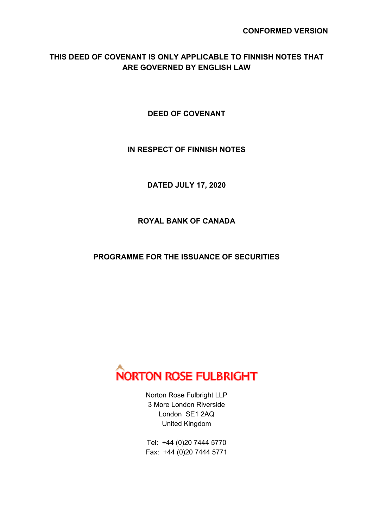# **THIS DEED OF COVENANT IS ONLY APPLICABLE TO FINNISH NOTES THAT ARE GOVERNED BY ENGLISH LAW**

**DEED OF COVENANT** 

### **IN RESPECT OF FINNISH NOTES**

**DATED JULY 17, 2020** 

# **ROYAL BANK OF CANADA**

**PROGRAMME FOR THE ISSUANCE OF SECURITIES** 



Norton Rose Fulbright LLP 3 More London Riverside London SE1 2AQ United Kingdom

Tel: +44 (0)20 7444 5770 Fax: +44 (0)20 7444 5771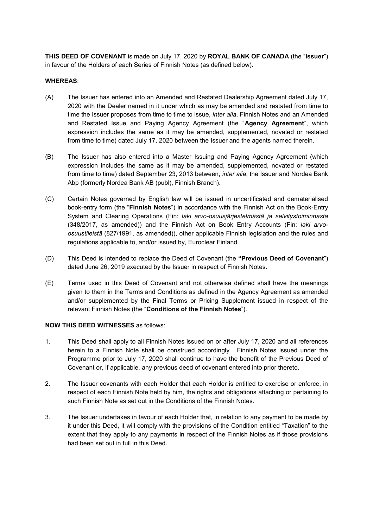**THIS DEED OF COVENANT** is made on July 17, 2020 by **ROYAL BANK OF CANADA** (the "**Issuer**") in favour of the Holders of each Series of Finnish Notes (as defined below).

#### **WHEREAS**:

- (A) The Issuer has entered into an Amended and Restated Dealership Agreement dated July 17, 2020 with the Dealer named in it under which as may be amended and restated from time to time the Issuer proposes from time to time to issue, *inter alia*, Finnish Notes and an Amended and Restated Issue and Paying Agency Agreement (the "**Agency Agreement**", which expression includes the same as it may be amended, supplemented, novated or restated from time to time) dated July 17, 2020 between the Issuer and the agents named therein.
- (B) The Issuer has also entered into a Master Issuing and Paying Agency Agreement (which expression includes the same as it may be amended, supplemented, novated or restated from time to time) dated September 23, 2013 between, *inter alia*, the Issuer and Nordea Bank Abp (formerly Nordea Bank AB (publ), Finnish Branch).
- (C) Certain Notes governed by English law will be issued in uncertificated and dematerialised book-entry form (the "**Finnish Notes**") in accordance with the Finnish Act on the Book-Entry System and Clearing Operations (Fin: *laki arvo-osuusjärjestelmästä ja selvitystoiminnasta* (348/2017, as amended)) and the Finnish Act on Book Entry Accounts (Fin: *laki arvoosuustileistä* (827/1991, as amended)), other applicable Finnish legislation and the rules and regulations applicable to, and/or issued by, Euroclear Finland.
- (D) This Deed is intended to replace the Deed of Covenant (the **"Previous Deed of Covenant**") dated June 26, 2019 executed by the Issuer in respect of Finnish Notes.
- (E) Terms used in this Deed of Covenant and not otherwise defined shall have the meanings given to them in the Terms and Conditions as defined in the Agency Agreement as amended and/or supplemented by the Final Terms or Pricing Supplement issued in respect of the relevant Finnish Notes (the "**Conditions of the Finnish Notes**").

#### **NOW THIS DEED WITNESSES** as follows:

- 1. This Deed shall apply to all Finnish Notes issued on or after July 17, 2020 and all references herein to a Finnish Note shall be construed accordingly. Finnish Notes issued under the Programme prior to July 17, 2020 shall continue to have the benefit of the Previous Deed of Covenant or, if applicable, any previous deed of covenant entered into prior thereto.
- 2. The Issuer covenants with each Holder that each Holder is entitled to exercise or enforce, in respect of each Finnish Note held by him, the rights and obligations attaching or pertaining to such Finnish Note as set out in the Conditions of the Finnish Notes.
- 3. The Issuer undertakes in favour of each Holder that, in relation to any payment to be made by it under this Deed, it will comply with the provisions of the Condition entitled "Taxation" to the extent that they apply to any payments in respect of the Finnish Notes as if those provisions had been set out in full in this Deed.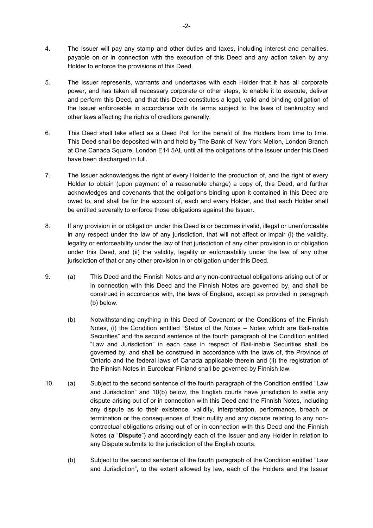- 4. The Issuer will pay any stamp and other duties and taxes, including interest and penalties, payable on or in connection with the execution of this Deed and any action taken by any Holder to enforce the provisions of this Deed.
- 5. The Issuer represents, warrants and undertakes with each Holder that it has all corporate power, and has taken all necessary corporate or other steps, to enable it to execute, deliver and perform this Deed, and that this Deed constitutes a legal, valid and binding obligation of the Issuer enforceable in accordance with its terms subject to the laws of bankruptcy and other laws affecting the rights of creditors generally.
- 6. This Deed shall take effect as a Deed Poll for the benefit of the Holders from time to time. This Deed shall be deposited with and held by The Bank of New York Mellon, London Branch at One Canada Square, London E14 5AL until all the obligations of the Issuer under this Deed have been discharged in full.
- 7. The Issuer acknowledges the right of every Holder to the production of, and the right of every Holder to obtain (upon payment of a reasonable charge) a copy of, this Deed, and further acknowledges and covenants that the obligations binding upon it contained in this Deed are owed to, and shall be for the account of, each and every Holder, and that each Holder shall be entitled severally to enforce those obligations against the Issuer.
- 8. If any provision in or obligation under this Deed is or becomes invalid, illegal or unenforceable in any respect under the law of any jurisdiction, that will not affect or impair (i) the validity, legality or enforceability under the law of that jurisdiction of any other provision in or obligation under this Deed, and (ii) the validity, legality or enforceability under the law of any other jurisdiction of that or any other provision in or obligation under this Deed.
- 9. (a) This Deed and the Finnish Notes and any non-contractual obligations arising out of or in connection with this Deed and the Finnish Notes are governed by, and shall be construed in accordance with, the laws of England, except as provided in paragraph (b) below.
	- (b) Notwithstanding anything in this Deed of Covenant or the Conditions of the Finnish Notes, (i) the Condition entitled "Status of the Notes – Notes which are Bail-inable Securities" and the second sentence of the fourth paragraph of the Condition entitled "Law and Jurisdiction" in each case in respect of Bail-inable Securities shall be governed by, and shall be construed in accordance with the laws of, the Province of Ontario and the federal laws of Canada applicable therein and (ii) the registration of the Finnish Notes in Euroclear Finland shall be governed by Finnish law.
- 10. (a) Subject to the second sentence of the fourth paragraph of the Condition entitled "Law and Jurisdiction" and 10(b) below, the English courts have jurisdiction to settle any dispute arising out of or in connection with this Deed and the Finnish Notes, including any dispute as to their existence, validity, interpretation, performance, breach or termination or the consequences of their nullity and any dispute relating to any noncontractual obligations arising out of or in connection with this Deed and the Finnish Notes (a "**Dispute**") and accordingly each of the Issuer and any Holder in relation to any Dispute submits to the jurisdiction of the English courts.
	- (b) Subject to the second sentence of the fourth paragraph of the Condition entitled "Law and Jurisdiction", to the extent allowed by law, each of the Holders and the Issuer